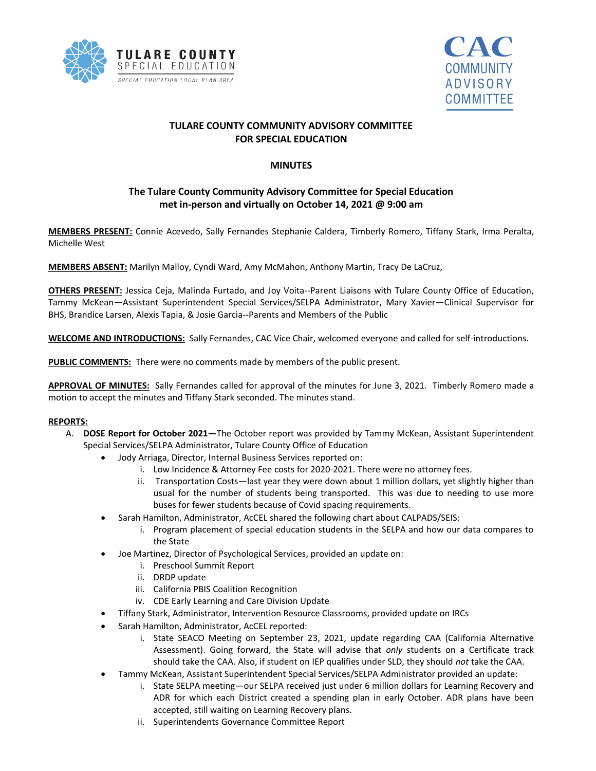



# **TULARE COUNTY COMMUNITY ADVISORY COMMITTEE FOR SPECIAL EDUCATION**

## **MINUTES**

# **The Tulare County Community Advisory Committee for Special Education met in-person and virtually on October 14, 2021 @ 9:00 am**

**MEMBERS PRESENT:** Connie Acevedo, Sally Fernandes Stephanie Caldera, Timberly Romero, Tiffany Stark, Irma Peralta, Michelle West

**MEMBERS ABSENT:** Marilyn Malloy, Cyndi Ward, Amy McMahon, Anthony Martin, Tracy De LaCruz,

**OTHERS PRESENT:** Jessica Ceja, Malinda Furtado, and Joy Voita--Parent Liaisons with Tulare County Office of Education, Tammy McKean—Assistant Superintendent Special Services/SELPA Administrator, Mary Xavier—Clinical Supervisor for BHS, Brandice Larsen, Alexis Tapia, & Josie Garcia--Parents and Members of the Public

**WELCOME AND INTRODUCTIONS:** Sally Fernandes, CAC Vice Chair, welcomed everyone and called for self-introductions.

**PUBLIC COMMENTS:** There were no comments made by members of the public present.

**APPROVAL OF MINUTES:** Sally Fernandes called for approval of the minutes for June 3, 2021. Timberly Romero made a motion to accept the minutes and Tiffany Stark seconded. The minutes stand.

## **REPORTS:**

- A. **DOSE Report for October 2021—**The October report was provided by Tammy McKean, Assistant Superintendent Special Services/SELPA Administrator, Tulare County Office of Education
	- Jody Arriaga, Director, Internal Business Services reported on:
		- i. Low Incidence & Attorney Fee costs for 2020-2021. There were no attorney fees.
		- ii. Transportation Costs—last year they were down about 1 million dollars, yet slightly higher than usual for the number of students being transported. This was due to needing to use more buses for fewer students because of Covid spacing requirements.
	- Sarah Hamilton, Administrator, AcCEL shared the following chart about CALPADS/SEIS:
		- i. Program placement of special education students in the SELPA and how our data compares to the State
	- Joe Martinez, Director of Psychological Services, provided an update on:
		- i. Preschool Summit Report
		- ii. DRDP update
		- iii. California PBIS Coalition Recognition
		- iv. CDE Early Learning and Care Division Update
	- Tiffany Stark, Administrator, Intervention Resource Classrooms, provided update on IRCs
	- Sarah Hamilton, Administrator, AcCEL reported:
		- i. State SEACO Meeting on September 23, 2021, update regarding CAA (California Alternative Assessment). Going forward, the State will advise that *only* students on a Certificate track should take the CAA. Also, if student on IEP qualifies under SLD, they should *not* take the CAA.
	- Tammy McKean, Assistant Superintendent Special Services/SELPA Administrator provided an update:
		- i. State SELPA meeting—our SELPA received just under 6 million dollars for Learning Recovery and ADR for which each District created a spending plan in early October. ADR plans have been accepted, still waiting on Learning Recovery plans.
		- ii. Superintendents Governance Committee Report